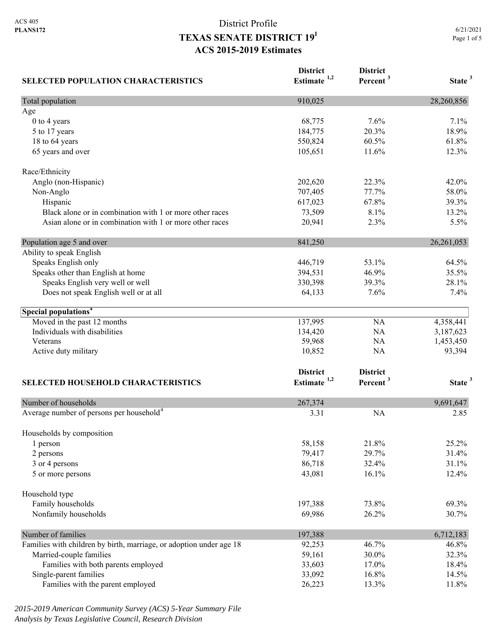| <b>SELECTED POPULATION CHARACTERISTICS</b>                          | <b>District</b><br>Estimate $1,2$ | <b>District</b><br>Percent <sup>3</sup> | State <sup>3</sup> |
|---------------------------------------------------------------------|-----------------------------------|-----------------------------------------|--------------------|
| Total population                                                    | 910,025                           |                                         | 28,260,856         |
| Age                                                                 |                                   |                                         |                    |
| 0 to 4 years                                                        | 68,775                            | 7.6%                                    | 7.1%               |
| 5 to 17 years                                                       | 184,775                           | 20.3%                                   | 18.9%              |
| 18 to 64 years                                                      | 550,824                           | 60.5%                                   | 61.8%              |
| 65 years and over                                                   | 105,651                           | 11.6%                                   | 12.3%              |
| Race/Ethnicity                                                      |                                   |                                         |                    |
| Anglo (non-Hispanic)                                                | 202,620                           | 22.3%                                   | 42.0%              |
| Non-Anglo                                                           | 707,405                           | 77.7%                                   | 58.0%              |
| Hispanic                                                            | 617,023                           | 67.8%                                   | 39.3%              |
| Black alone or in combination with 1 or more other races            | 73,509                            | 8.1%                                    | 13.2%              |
| Asian alone or in combination with 1 or more other races            | 20,941                            | 2.3%                                    | 5.5%               |
| Population age 5 and over                                           | 841,250                           |                                         | 26, 261, 053       |
| Ability to speak English                                            |                                   |                                         |                    |
| Speaks English only                                                 | 446,719                           | 53.1%                                   | 64.5%              |
| Speaks other than English at home                                   | 394,531                           | 46.9%                                   | 35.5%              |
| Speaks English very well or well                                    | 330,398                           | 39.3%                                   | 28.1%              |
| Does not speak English well or at all                               | 64,133                            | 7.6%                                    | 7.4%               |
| Special populations <sup>4</sup>                                    |                                   |                                         |                    |
| Moved in the past 12 months                                         | 137,995                           | NA                                      | 4,358,441          |
| Individuals with disabilities                                       | 134,420                           | NA                                      | 3,187,623          |
| Veterans                                                            | 59,968                            | NA                                      | 1,453,450          |
| Active duty military                                                | 10,852                            | NA                                      | 93,394             |
|                                                                     | <b>District</b>                   | <b>District</b>                         |                    |
| SELECTED HOUSEHOLD CHARACTERISTICS                                  | Estimate $1,2$                    | Percent <sup>3</sup>                    | State <sup>3</sup> |
| Number of households                                                | 267,374                           |                                         | 9,691,647          |
| Average number of persons per household <sup>4</sup>                | 3.31                              | <b>NA</b>                               | 2.85               |
|                                                                     |                                   |                                         |                    |
| Households by composition<br>1 person                               | 58,158                            | 21.8%                                   | 25.2%              |
| 2 persons                                                           | 79,417                            | 29.7%                                   | 31.4%              |
| 3 or 4 persons                                                      | 86,718                            | 32.4%                                   | 31.1%              |
| 5 or more persons                                                   | 43,081                            | 16.1%                                   | 12.4%              |
| Household type                                                      |                                   |                                         |                    |
| Family households                                                   | 197,388                           | 73.8%                                   | 69.3%              |
| Nonfamily households                                                | 69,986                            | 26.2%                                   | 30.7%              |
| Number of families                                                  | 197,388                           |                                         | 6,712,183          |
| Families with children by birth, marriage, or adoption under age 18 | 92,253                            | 46.7%                                   | 46.8%              |
| Married-couple families                                             | 59,161                            | 30.0%                                   | 32.3%              |
| Families with both parents employed                                 | 33,603                            | 17.0%                                   | 18.4%              |
| Single-parent families                                              | 33,092                            | 16.8%                                   | 14.5%              |
| Families with the parent employed                                   | 26,223                            | 13.3%                                   | 11.8%              |

*2015-2019 American Community Survey (ACS) 5-Year Summary File Analysis by Texas Legislative Council, Research Division*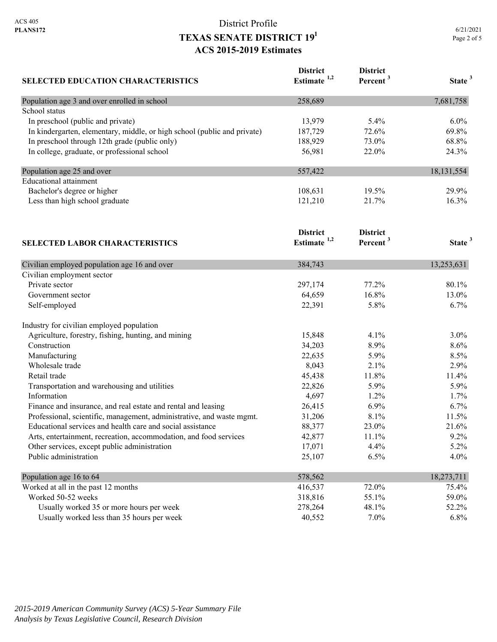|             | 6/21/2021 |
|-------------|-----------|
| Page 2 of 5 |           |

| <b>SELECTED EDUCATION CHARACTERISTICS</b>                                | <b>District</b><br>Estimate <sup>1,2</sup> | <b>District</b><br>Percent <sup>3</sup> | State <sup>3</sup> |
|--------------------------------------------------------------------------|--------------------------------------------|-----------------------------------------|--------------------|
| Population age 3 and over enrolled in school                             | 258,689                                    |                                         | 7,681,758          |
| School status                                                            |                                            |                                         |                    |
| In preschool (public and private)                                        | 13,979                                     | 5.4%                                    | 6.0%               |
| In kindergarten, elementary, middle, or high school (public and private) | 187,729                                    | 72.6%                                   | 69.8%              |
| In preschool through 12th grade (public only)                            | 188,929                                    | 73.0%                                   | 68.8%              |
| In college, graduate, or professional school                             | 56,981                                     | 22.0%                                   | 24.3%              |
| Population age 25 and over                                               | 557,422                                    |                                         | 18, 131, 554       |
| <b>Educational</b> attainment                                            |                                            |                                         |                    |
| Bachelor's degree or higher                                              | 108,631                                    | 19.5%                                   | 29.9%              |
| Less than high school graduate                                           | 121,210                                    | 21.7%                                   | 16.3%              |
|                                                                          | <b>District</b>                            | <b>District</b>                         |                    |
| <b>SELECTED LABOR CHARACTERISTICS</b>                                    | Estimate <sup>1,2</sup>                    | Percent <sup>3</sup>                    | State <sup>3</sup> |
| Civilian employed population age 16 and over                             | 384,743                                    |                                         | 13,253,631         |
| Civilian employment sector                                               |                                            |                                         |                    |
| Private sector                                                           | 297,174                                    | 77.2%                                   | 80.1%              |
| Government sector                                                        | 64,659                                     | 16.8%                                   | 13.0%              |
| Self-employed                                                            | 22,391                                     | 5.8%                                    | 6.7%               |
| Industry for civilian employed population                                |                                            |                                         |                    |
| Agriculture, forestry, fishing, hunting, and mining                      | 15,848                                     | 4.1%                                    | 3.0%               |
| Construction                                                             | 34,203                                     | 8.9%                                    | 8.6%               |
| Manufacturing                                                            | 22,635                                     | 5.9%                                    | 8.5%               |
| Wholesale trade                                                          | 8,043                                      | 2.1%                                    | 2.9%               |
| Retail trade                                                             | 45,438                                     | 11.8%                                   | 11.4%              |
| Transportation and warehousing and utilities                             | 22,826                                     | 5.9%                                    | 5.9%               |
| Information                                                              | 4,697                                      | 1.2%                                    | 1.7%               |
| Finance and insurance, and real estate and rental and leasing            | 26,415                                     | 6.9%                                    | 6.7%               |
| Professional, scientific, management, administrative, and waste mgmt.    | 31,206                                     | 8.1%                                    | 11.5%              |
| Educational services and health care and social assistance               | 88,377                                     | 23.0%                                   | 21.6%              |
| Arts, entertainment, recreation, accommodation, and food services        | 42,877                                     | 11.1%                                   | 9.2%               |
| Other services, except public administration                             | 17,071                                     | 4.4%                                    | 5.2%               |
| Public administration                                                    | 25,107                                     | 6.5%                                    | 4.0%               |
| Population age 16 to 64                                                  | 578,562                                    |                                         | 18,273,711         |
| Worked at all in the past 12 months                                      | 416,537                                    | 72.0%                                   | 75.4%              |
| Worked 50-52 weeks                                                       | 318,816                                    | 55.1%                                   | 59.0%              |
| Usually worked 35 or more hours per week                                 | 278,264                                    | 48.1%                                   | 52.2%              |
| Usually worked less than 35 hours per week                               | 40,552                                     | 7.0%                                    | 6.8%               |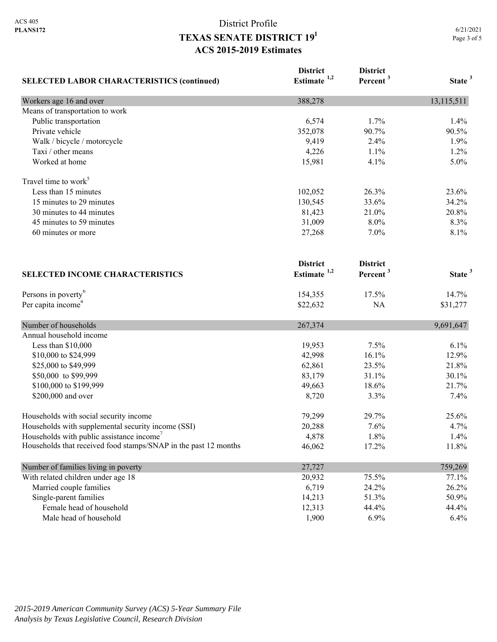| <b>SELECTED LABOR CHARACTERISTICS (continued)</b>               | <b>District</b><br>Estimate $1,2$ | <b>District</b><br>Percent <sup>3</sup> | State <sup>3</sup> |
|-----------------------------------------------------------------|-----------------------------------|-----------------------------------------|--------------------|
| Workers age 16 and over                                         | 388,278                           |                                         | 13,115,511         |
| Means of transportation to work                                 |                                   |                                         |                    |
| Public transportation                                           | 6,574                             | 1.7%                                    | 1.4%               |
| Private vehicle                                                 | 352,078                           | 90.7%                                   | 90.5%              |
| Walk / bicycle / motorcycle                                     | 9,419                             | 2.4%                                    | 1.9%               |
| Taxi / other means                                              | 4,226                             | 1.1%                                    | 1.2%               |
| Worked at home                                                  | 15,981                            | 4.1%                                    | 5.0%               |
| Travel time to work <sup>5</sup>                                |                                   |                                         |                    |
| Less than 15 minutes                                            | 102,052                           | 26.3%                                   | 23.6%              |
| 15 minutes to 29 minutes                                        | 130,545                           | 33.6%                                   | 34.2%              |
| 30 minutes to 44 minutes                                        | 81,423                            | 21.0%                                   | 20.8%              |
| 45 minutes to 59 minutes                                        | 31,009                            | 8.0%                                    | 8.3%               |
| 60 minutes or more                                              | 27,268                            | 7.0%                                    | 8.1%               |
|                                                                 | <b>District</b>                   | <b>District</b>                         |                    |
| <b>SELECTED INCOME CHARACTERISTICS</b>                          | Estimate <sup>1,2</sup>           | Percent <sup>3</sup>                    | State <sup>3</sup> |
| Persons in poverty <sup>6</sup>                                 | 154,355                           | 17.5%                                   | 14.7%              |
| Per capita income <sup>4</sup>                                  | \$22,632                          | NA                                      | \$31,277           |
| Number of households                                            | 267,374                           |                                         | 9,691,647          |
| Annual household income                                         |                                   |                                         |                    |
| Less than \$10,000                                              | 19,953                            | 7.5%                                    | 6.1%               |
| \$10,000 to \$24,999                                            | 42,998                            | 16.1%                                   | 12.9%              |
| \$25,000 to \$49,999                                            | 62,861                            | 23.5%                                   | 21.8%              |
| \$50,000 to \$99,999                                            | 83,179                            | 31.1%                                   | 30.1%              |
| \$100,000 to \$199,999                                          | 49,663                            | 18.6%                                   | 21.7%              |
| \$200,000 and over                                              | 8,720                             | 3.3%                                    | 7.4%               |
| Households with social security income                          | 79,299                            | 29.7%                                   | 25.6%              |
| Households with supplemental security income (SSI)              | 20,288                            | 7.6%                                    | 4.7%               |
| Households with public assistance income'                       | 4,878                             | 1.8%                                    | 1.4%               |
| Households that received food stamps/SNAP in the past 12 months | 46,062                            | 17.2%                                   | 11.8%              |
| Number of families living in poverty                            | 27,727                            |                                         | 759,269            |
| With related children under age 18                              | 20,932                            | 75.5%                                   | 77.1%              |
| Married couple families                                         | 6,719                             | 24.2%                                   | 26.2%              |
| Single-parent families                                          | 14,213                            | 51.3%                                   | 50.9%              |
| Female head of household                                        | 12,313                            | 44.4%                                   | 44.4%              |
| Male head of household                                          | 1,900                             | 6.9%                                    | 6.4%               |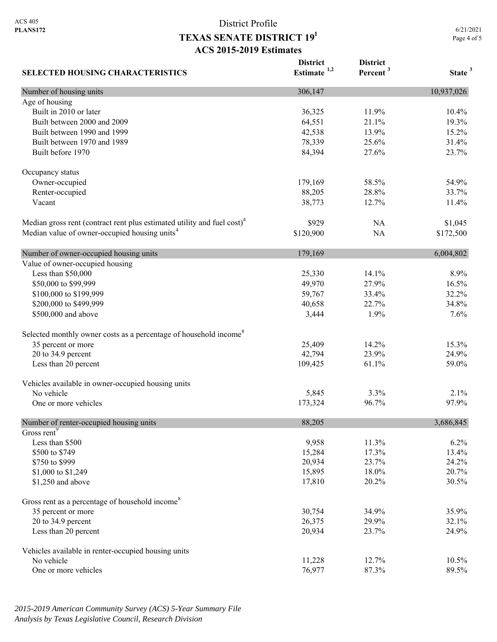6/21/2021 Page 4 of 5

| <b>SELECTED HOUSING CHARACTERISTICS</b>                                             | <b>District</b><br>Estimate <sup>1,2</sup> | <b>District</b><br>Percent <sup>3</sup> | State <sup>3</sup> |
|-------------------------------------------------------------------------------------|--------------------------------------------|-----------------------------------------|--------------------|
| Number of housing units                                                             | 306,147                                    |                                         | 10,937,026         |
| Age of housing                                                                      |                                            |                                         |                    |
| Built in 2010 or later                                                              | 36,325                                     | 11.9%                                   | 10.4%              |
| Built between 2000 and 2009                                                         | 64,551                                     | 21.1%                                   | 19.3%              |
| Built between 1990 and 1999                                                         | 42,538                                     | 13.9%                                   | 15.2%              |
| Built between 1970 and 1989                                                         | 78,339                                     | 25.6%                                   | 31.4%              |
| Built before 1970                                                                   | 84,394                                     | 27.6%                                   | 23.7%              |
| Occupancy status                                                                    |                                            |                                         |                    |
| Owner-occupied                                                                      | 179,169                                    | 58.5%                                   | 54.9%              |
| Renter-occupied                                                                     | 88,205                                     | 28.8%                                   | 33.7%              |
| Vacant                                                                              | 38,773                                     | 12.7%                                   | 11.4%              |
| Median gross rent (contract rent plus estimated utility and fuel cost) <sup>4</sup> | \$929                                      | NA                                      | \$1,045            |
| Median value of owner-occupied housing units <sup>4</sup>                           | \$120,900                                  | NA                                      | \$172,500          |
| Number of owner-occupied housing units                                              | 179,169                                    |                                         | 6,004,802          |
| Value of owner-occupied housing                                                     |                                            |                                         |                    |
| Less than \$50,000                                                                  | 25,330                                     | 14.1%                                   | 8.9%               |
| \$50,000 to \$99,999                                                                | 49,970                                     | 27.9%                                   | 16.5%              |
| \$100,000 to \$199,999                                                              | 59,767                                     | 33.4%                                   | 32.2%              |
| \$200,000 to \$499,999                                                              | 40,658                                     | 22.7%                                   | 34.8%              |
| \$500,000 and above                                                                 | 3,444                                      | 1.9%                                    | 7.6%               |
| Selected monthly owner costs as a percentage of household income <sup>8</sup>       |                                            |                                         |                    |
| 35 percent or more                                                                  | 25,409                                     | 14.2%                                   | 15.3%              |
| 20 to 34.9 percent                                                                  | 42,794                                     | 23.9%                                   | 24.9%              |
| Less than 20 percent                                                                | 109,425                                    | 61.1%                                   | 59.0%              |
| Vehicles available in owner-occupied housing units                                  |                                            |                                         |                    |
| No vehicle                                                                          | 5,845                                      | 3.3%                                    | 2.1%               |
| One or more vehicles                                                                | 173,324                                    | 96.7%                                   | 97.9%              |
| Number of renter-occupied housing units                                             | 88,205                                     |                                         | 3,686,845          |
| Gross rent <sup>9</sup>                                                             |                                            |                                         |                    |
| Less than \$500                                                                     | 9,958                                      | 11.3%                                   | 6.2%               |
| \$500 to \$749                                                                      | 15,284                                     | 17.3%                                   | 13.4%              |
| \$750 to \$999                                                                      | 20,934                                     | 23.7%                                   | 24.2%              |
| \$1,000 to \$1,249                                                                  | 15,895                                     | 18.0%                                   | 20.7%              |
| \$1,250 and above                                                                   | 17,810                                     | 20.2%                                   | 30.5%              |
| Gross rent as a percentage of household income <sup>8</sup>                         |                                            |                                         |                    |
| 35 percent or more                                                                  | 30,754                                     | 34.9%                                   | 35.9%              |
| 20 to 34.9 percent                                                                  | 26,375                                     | 29.9%                                   | 32.1%              |
| Less than 20 percent                                                                | 20,934                                     | 23.7%                                   | 24.9%              |
| Vehicles available in renter-occupied housing units                                 |                                            |                                         |                    |
| No vehicle                                                                          | 11,228                                     | 12.7%                                   | 10.5%              |
| One or more vehicles                                                                | 76,977                                     | 87.3%                                   | 89.5%              |